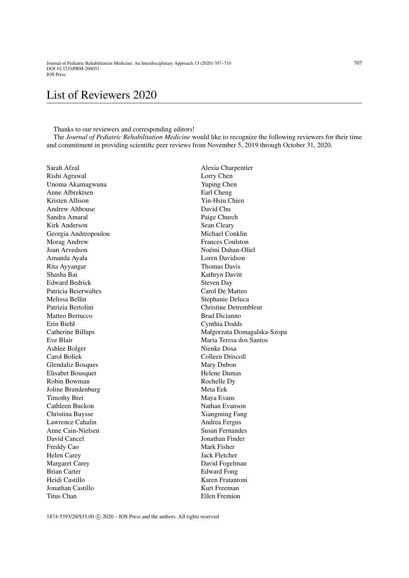## List of Reviewers 2020

## Thanks to our reviewers and corresponding editors!

The *Journal of Pediatric Rehabilitation Medicine* would like to recognize the following reviewers for their time and commitment in providing scientific peer reviews from November 5, 2019 through October 31, 2020.

Sarah Afzal Alexia Charpentier Rishi Agrawal Lorry Chen Unoma Akamagwuna <br>
Yuping Chen Anne Albrektsen Earl Cheng Kristen Allison Yin-Hsiu Chien Andrew Althouse David Chu Sandra Amaral Paige Church Kirk Anderson Sean Cleary Georgia Andreopoulou Michael Conklin Morag Andrew Frances Coulston Joan Arvedson Noémi Dahan-Oliel Amanda Ayala Loren Davidson Rita Ayyangar Thomas Davis Shasha Bai Kathryn Davitt Edward Bedrick Steven Day Patricia Beierwaltes Carol De Matteo Melissa Bellin Stephanie Deluca Patrizia Bertolini Christine Detrembleur Matteo Bertucco Brad Dicianno Erin Biehl Cynthia Dodds Ashlee Bolger Nienke Dosa Carol Boliek Colleen Driscoll Glendaliz Bosques Mary Dubon Elisabet Bousquet **Helene** Dumas Robin Bowman Rochelle Dy Joline Brandenburg Meta Eek Timothy Brei Maya Evans Cathleen Buckon Nathan Evanson Christina Buysse Xiangming Fang Lawrence Cahalin Andrea Fergus Anne Cain-Nielsen Susan Fernandes David Cancel **Jonathan Finder** Freddy Cao Mark Fisher Helen Carey Jack Fletcher Margaret Carey David Fogelman Brian Carter **Edward Fong** Heidi Castillo Karen Fratantoni Jonathan Castillo **Kurt Freeman** Titus Chan Ellen Fremion

Catherine Billups Małgorzata Domagalska-Szopa Eve Blair Maria Teresa dos Santos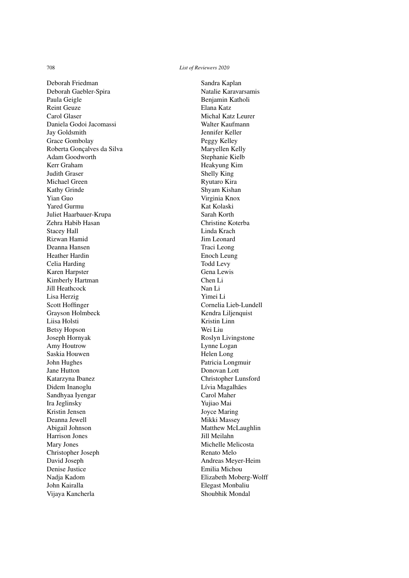Deborah Friedman Sandra Kaplan Deborah Gaebler-Spira Natalie Karavarsamis Paula Geigle Benjamin Katholi Reint Geuze Elana Katz<br>Carol Glaser Nichal Katz<br>Michal Kat Daniela Godoi Jacomassi Jay Goldsmith Jennifer Keller Grace Gombolay Peggy Kelley<br>Roberta Gonçalves da Silva Peggy Kelley<br>Maryellen Kelly Roberta Gonçalves da Silva Adam Goodworth Stephanie Kielb Kerr Graham Heakyung Kim Judith Graser Shelly King Michael Green Ryutaro Kira Kathy Grinde Shyam Kishan Yian Guo Virginia Knox Yared Gurmu Kat Kolaski<br>
Juliet Haarbauer-Krupa Kat Korea (Kat Korea Korea (Kat Korea Korea Korea Korea Korea Korea Korea Korea Korea Juliet Haarbauer-Krupa<br>
Sarah Korth<br>
Sarah Kortha Sarah Kortha Sarah Kortha Sarah Kortha Sarah Kortha Sarah Kortha Zehra Habib Hasan Stacey Hall **Linda Krach** Rizwan Hamid Jim Leonard Deanna Hansen Traci Leong Heather Hardin Enoch Leung Celia Harding Todd Levy Karen Harpster Gena Lewis Kimberly Hartman Chen Li Jill Heathcock Nan Li Lisa Herzig Yimei Li Scott Hoffinger Cornelia Lieb-Lundell Grayson Holmbeck Kendra Liljenquist Liisa Holsti Kristin Linn Betsy Hopson Wei Liu Joseph Hornyak Roslyn Livingstone Amy Houtrow Lynne Logan Saskia Houwen Helen Long John Hughes Patricia Longmuir Jane Hutton Donovan Lott Katarzyna Ibanez Christopher Lunsford Didem Inanoglu Lívia Magalhães Sandhyaa Iyengar Carol Maher Ira Jeglinsky Yujiao Mai Kristin Jensen Joyce Maring Deanna Jewell Mikki Massey Abigail Johnson Matthew McLaughlin Harrison Jones Jill Meilahn Mary Jones Michelle Melicosta Christopher Joseph Renato Melo David Joseph Andreas Meyer-Heim Denise Justice Emilia Michou Nadja Kadom Elizabeth Moberg-Wolff John Kairalla Elegast Monbaliu Vijaya Kancherla

Michal Katz Leurer<br>Walter Kaufmann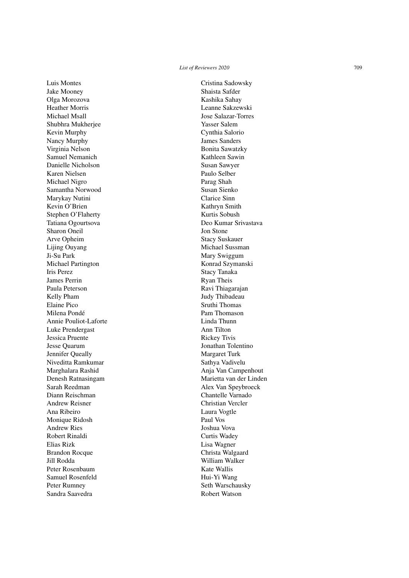Jake Mooney Shaista Safder Olga Morozova Kashika Sahay Heather Morris Leanne Sakzewski<br>Michael Msall Michael Msall Jose Salazar-Torres Shubhra Mukherjee Kevin Murphy Cynthia Salorio Nancy Murphy James Sanders Virginia Nelson Bonita Sawatzky Samuel Nemanich Kathleen Sawin Danielle Nicholson Susan Sawyer Karen Nielsen Paulo Selber Michael Nigro Parag Shah Samantha Norwood Susan Sienko Marykay Nutini Clarice Sinn Kevin O'Brien Kathryn Smith<br>
Stephen O'Flaherty Kurtis Sobush<br>
Kurtis Sobush Stephen O'Flaherty<br>Tatiana Ogourtsova Sharon Oneil Jon Stone Arve Opheim Stacy Suskauer Lijing Ouyang Michael Sussman Ji-Su Park Mary Swiggum Michael Partington Konrad Szymanski Iris Perez Stacy Tanaka James Perrin Ryan Theis Paula Peterson Ravi Thiagarajan Kelly Pham Judy Thibadeau<br>Elaine Pico Sruthi Thomas Elaine Pico Sruthi Thomas<br>
Milena Pondé Pam Thomasor Annie Pouliot-Laforte Linda Thunn Luke Prendergast Ann Tilton Jessica Pruente Rickey Tivis Jesse Quarum Jonathan Tolentino Jennifer Queally Margaret Turk Niveditta Ramkumar Sathya Vadivelu Sarah Reedman Alex Van Speybroeck Diann Reischman Chantelle Varnado Andrew Reisner Christian Vercler Ana Ribeiro Laura Vogtle Monique Ridosh Paul Vos Andrew Ries Joshua Vova Robert Rinaldi Curtis Wadey Elias Rizk Lisa Wagner Brandon Rocque Christa Walgaard Jill Rodda William Walker Peter Rosenbaum Kate Wallis Samuel Rosenfeld Hui-Yi Wang Peter Rumney Seth Warschausky Sandra Saavedra **Robert Watson** 

Luis Montes Cristina Sadowsky **Jose Salazar-Torres**<br>Yasser Salem Deo Kumar Srivastava Pam Thomason Marghalara Rashid Anja Van Campenhout Denesh Ratnasingam Marietta van der Linden